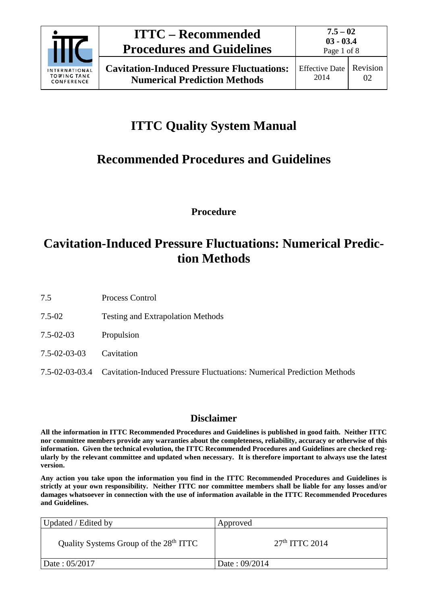

# **ITTC Quality System Manual**

## **Recommended Procedures and Guidelines**

**Procedure**

### **Cavitation-Induced Pressure Fluctuations: Numerical Prediction Methods**

7.5 Process Control

- 7.5-02 Testing and Extrapolation Methods
- 7.5-02-03 Propulsion
- 7.5-02-03-03 Cavitation
- 7.5-02-03-03.4 Cavitation-Induced Pressure Fluctuations: Numerical Prediction Methods

### **Disclaimer**

**All the information in ITTC Recommended Procedures and Guidelines is published in good faith. Neither ITTC nor committee members provide any warranties about the completeness, reliability, accuracy or otherwise of this information. Given the technical evolution, the ITTC Recommended Procedures and Guidelines are checked regularly by the relevant committee and updated when necessary. It is therefore important to always use the latest version.**

**Any action you take upon the information you find in the ITTC Recommended Procedures and Guidelines is strictly at your own responsibility. Neither ITTC nor committee members shall be liable for any losses and/or damages whatsoever in connection with the use of information available in the ITTC Recommended Procedures and Guidelines.**

| Updated / Edited by                                | Approved         |
|----------------------------------------------------|------------------|
| Quality Systems Group of the 28 <sup>th</sup> ITTC | $27th$ ITTC 2014 |
| Date: 05/2017                                      | Date: 09/2014    |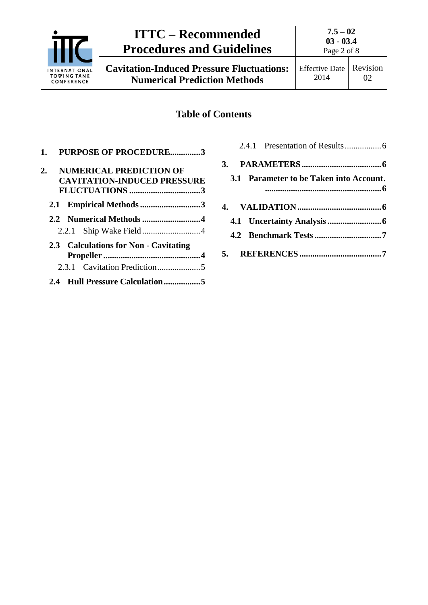

## **ITTC – Recommended Procedures and Guidelines**

**Cavitation-Induced Pressure Fluctuations: Numerical Prediction Methods**

### **Table of Contents**

| 1. PURPOSE OF PROCEDURE3                             |
|------------------------------------------------------|
| <b>NUMERICAL PREDICTION OF</b><br>2.                 |
| <b>CAVITATION-INDUCED PRESSURE</b><br>FLUCTUATIONS 3 |
| 2.1 Empirical Methods 3                              |
|                                                      |
|                                                      |
| 2.3 Calculations for Non - Cavitating                |
|                                                      |
|                                                      |

|  | 3.1 Parameter to be Taken into Account. |  |
|--|-----------------------------------------|--|
|  |                                         |  |
|  |                                         |  |
|  |                                         |  |
|  |                                         |  |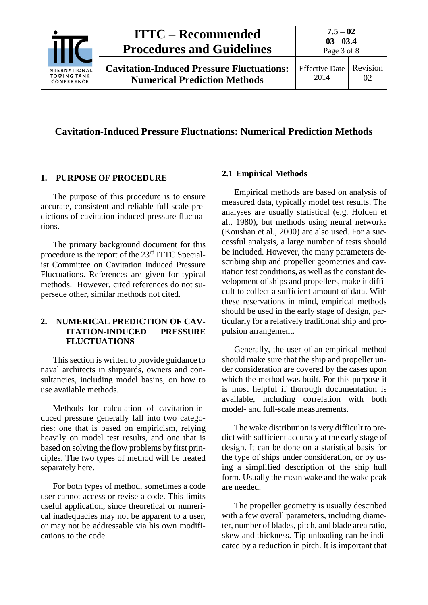

#### **Cavitation-Induced Pressure Fluctuations: Numerical Prediction Methods**

#### <span id="page-2-0"></span>**1. PURPOSE OF PROCEDURE**

The purpose of this procedure is to ensure accurate, consistent and reliable full-scale predictions of cavitation-induced pressure fluctuations.

The primary background document for this procedure is the report of the 23rd ITTC Specialist Committee on Cavitation Induced Pressure Fluctuations. References are given for typical methods. However, cited references do not supersede other, similar methods not cited.

#### <span id="page-2-1"></span>**2. NUMERICAL PREDICTION OF CAV-ITATION-INDUCED PRESSURE FLUCTUATIONS**

This section is written to provide guidance to naval architects in shipyards, owners and consultancies, including model basins, on how to use available methods.

Methods for calculation of cavitation-induced pressure generally fall into two categories: one that is based on empiricism, relying heavily on model test results, and one that is based on solving the flow problems by first principles. The two types of method will be treated separately here.

For both types of method, sometimes a code user cannot access or revise a code. This limits useful application, since theoretical or numerical inadequacies may not be apparent to a user, or may not be addressable via his own modifications to the code.

#### <span id="page-2-2"></span>**2.1 Empirical Methods**

Empirical methods are based on analysis of measured data, typically model test results. The analyses are usually statistical (e.g. Holden et al., 1980), but methods using neural networks (Koushan et al., 2000) are also used. For a successful analysis, a large number of tests should be included. However, the many parameters describing ship and propeller geometries and cavitation test conditions, as well as the constant development of ships and propellers, make it difficult to collect a sufficient amount of data. With these reservations in mind, empirical methods should be used in the early stage of design, particularly for a relatively traditional ship and propulsion arrangement.

Generally, the user of an empirical method should make sure that the ship and propeller under consideration are covered by the cases upon which the method was built. For this purpose it is most helpful if thorough documentation is available, including correlation with both model- and full-scale measurements.

The wake distribution is very difficult to predict with sufficient accuracy at the early stage of design. It can be done on a statistical basis for the type of ships under consideration, or by using a simplified description of the ship hull form. Usually the mean wake and the wake peak are needed.

The propeller geometry is usually described with a few overall parameters, including diameter, number of blades, pitch, and blade area ratio, skew and thickness. Tip unloading can be indicated by a reduction in pitch. It is important that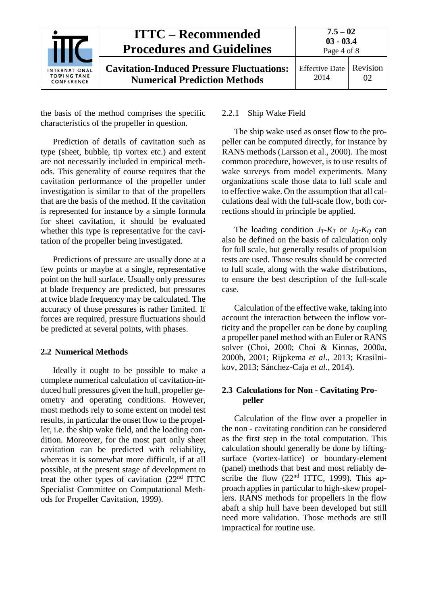

the basis of the method comprises the specific characteristics of the propeller in question.

Prediction of details of cavitation such as type (sheet, bubble, tip vortex etc.) and extent are not necessarily included in empirical methods. This generality of course requires that the cavitation performance of the propeller under investigation is similar to that of the propellers that are the basis of the method. If the cavitation is represented for instance by a simple formula for sheet cavitation, it should be evaluated whether this type is representative for the cavitation of the propeller being investigated.

Predictions of pressure are usually done at a few points or maybe at a single, representative point on the hull surface. Usually only pressures at blade frequency are predicted, but pressures at twice blade frequency may be calculated. The accuracy of those pressures is rather limited. If forces are required, pressure fluctuations should be predicted at several points, with phases.

#### <span id="page-3-0"></span>**2.2 Numerical Methods**

Ideally it ought to be possible to make a complete numerical calculation of cavitation-induced hull pressures given the hull, propeller geometry and operating conditions. However, most methods rely to some extent on model test results, in particular the onset flow to the propeller, i.e. the ship wake field, and the loading condition. Moreover, for the most part only sheet cavitation can be predicted with reliability, whereas it is somewhat more difficult, if at all possible, at the present stage of development to treat the other types of cavitation  $(22<sup>nd</sup> ITTC)$ Specialist Committee on Computational Methods for Propeller Cavitation, 1999).

#### <span id="page-3-1"></span>2.2.1 Ship Wake Field

The ship wake used as onset flow to the propeller can be computed directly, for instance by RANS methods (Larsson et al., 2000). The most common procedure, however, is to use results of wake surveys from model experiments. Many organizations scale those data to full scale and to effective wake. On the assumption that all calculations deal with the full-scale flow, both corrections should in principle be applied.

The loading condition *JT-KT* or *JQ-KQ* can also be defined on the basis of calculation only for full scale, but generally results of propulsion tests are used. Those results should be corrected to full scale, along with the wake distributions, to ensure the best description of the full-scale case.

Calculation of the effective wake, taking into account the interaction between the inflow vorticity and the propeller can be done by coupling a propeller panel method with an Euler or RANS solver (Choi, 2000; Choi & Kinnas, 2000a, 2000b, 2001; Rijpkema *et al*., 2013; Krasilnikov, 2013; Sánchez-Caja *et al*., 2014).

#### <span id="page-3-2"></span>**2.3 Calculations for Non - Cavitating Propeller**

Calculation of the flow over a propeller in the non - cavitating condition can be considered as the first step in the total computation. This calculation should generally be done by liftingsurface (vortex-lattice) or boundary-element (panel) methods that best and most reliably describe the flow  $(22<sup>nd</sup> ITTC, 1999)$ . This approach applies in particular to high-skew propellers. RANS methods for propellers in the flow abaft a ship hull have been developed but still need more validation. Those methods are still impractical for routine use.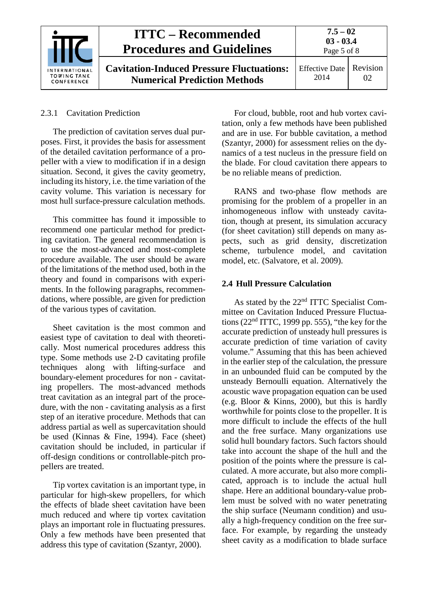| INTERNATIONAL<br><b>TOWING TANK</b><br>CONFERENCE | <b>ITTC – Recommended</b><br><b>Procedures and Guidelines</b>                           | $7.5 - 02$<br>$03 - 03.4$<br>Page 5 of 8 |                |
|---------------------------------------------------|-----------------------------------------------------------------------------------------|------------------------------------------|----------------|
|                                                   | <b>Cavitation-Induced Pressure Fluctuations:</b><br><b>Numerical Prediction Methods</b> | Effective Date<br>2014                   | Revision<br>02 |

#### <span id="page-4-0"></span>2.3.1 Cavitation Prediction

The prediction of cavitation serves dual purposes. First, it provides the basis for assessment of the detailed cavitation performance of a propeller with a view to modification if in a design situation. Second, it gives the cavity geometry, including its history, i.e. the time variation of the cavity volume. This variation is necessary for most hull surface-pressure calculation methods.

This committee has found it impossible to recommend one particular method for predicting cavitation. The general recommendation is to use the most-advanced and most-complete procedure available. The user should be aware of the limitations of the method used, both in the theory and found in comparisons with experiments. In the following paragraphs, recommendations, where possible, are given for prediction of the various types of cavitation.

Sheet cavitation is the most common and easiest type of cavitation to deal with theoretically. Most numerical procedures address this type. Some methods use 2-D cavitating profile techniques along with lifting-surface and boundary-element procedures for non - cavitating propellers. The most-advanced methods treat cavitation as an integral part of the procedure, with the non - cavitating analysis as a first step of an iterative procedure. Methods that can address partial as well as supercavitation should be used (Kinnas & Fine, 1994). Face (sheet) cavitation should be included, in particular if off-design conditions or controllable-pitch propellers are treated.

Tip vortex cavitation is an important type, in particular for high-skew propellers, for which the effects of blade sheet cavitation have been much reduced and where tip vortex cavitation plays an important role in fluctuating pressures. Only a few methods have been presented that address this type of cavitation (Szantyr, 2000).

For cloud, bubble, root and hub vortex cavitation, only a few methods have been published and are in use. For bubble cavitation, a method (Szantyr, 2000) for assessment relies on the dynamics of a test nucleus in the pressure field on the blade. For cloud cavitation there appears to be no reliable means of prediction.

RANS and two-phase flow methods are promising for the problem of a propeller in an inhomogeneous inflow with unsteady cavitation, though at present, its simulation accuracy (for sheet cavitation) still depends on many aspects, such as grid density, discretization scheme, turbulence model, and cavitation model, etc. (Salvatore, et al. 2009).

#### <span id="page-4-1"></span>**2.4 Hull Pressure Calculation**

As stated by the 22<sup>nd</sup> ITTC Specialist Committee on Cavitation Induced Pressure Fluctuations ( $22<sup>nd</sup> ITTC$ , 1999 pp. 555), "the key for the accurate prediction of unsteady hull pressures is accurate prediction of time variation of cavity volume." Assuming that this has been achieved in the earlier step of the calculation, the pressure in an unbounded fluid can be computed by the unsteady Bernoulli equation. Alternatively the acoustic wave propagation equation can be used (e.g. Bloor & Kinns, 2000), but this is hardly worthwhile for points close to the propeller. It is more difficult to include the effects of the hull and the free surface. Many organizations use solid hull boundary factors. Such factors should take into account the shape of the hull and the position of the points where the pressure is calculated. A more accurate, but also more complicated, approach is to include the actual hull shape. Here an additional boundary-value problem must be solved with no water penetrating the ship surface (Neumann condition) and usually a high-frequency condition on the free surface. For example, by regarding the unsteady sheet cavity as a modification to blade surface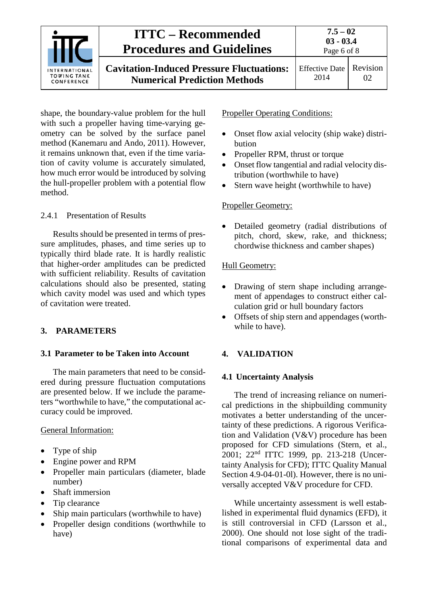

shape, the boundary-value problem for the hull with such a propeller having time-varying geometry can be solved by the surface panel method (Kanemaru and Ando, 2011). However, it remains unknown that, even if the time variation of cavity volume is accurately simulated, how much error would be introduced by solving the hull-propeller problem with a potential flow method.

#### <span id="page-5-0"></span>2.4.1 Presentation of Results

Results should be presented in terms of pressure amplitudes, phases, and time series up to typically third blade rate. It is hardly realistic that higher-order amplitudes can be predicted with sufficient reliability. Results of cavitation calculations should also be presented, stating which cavity model was used and which types of cavitation were treated.

#### <span id="page-5-2"></span><span id="page-5-1"></span>**3. PARAMETERS**

#### **3.1 Parameter to be Taken into Account**

The main parameters that need to be considered during pressure fluctuation computations are presented below. If we include the parameters "worthwhile to have," the computational accuracy could be improved.

#### General Information:

- Type of ship
- Engine power and RPM
- Propeller main particulars (diameter, blade number)
- Shaft immersion
- Tip clearance
- Ship main particulars (worthwhile to have)
- Propeller design conditions (worthwhile to have)

Propeller Operating Conditions:

- Onset flow axial velocity (ship wake) distribution
- Propeller RPM, thrust or torque
- Onset flow tangential and radial velocity distribution (worthwhile to have)
- Stern wave height (worthwhile to have)

#### Propeller Geometry:

• Detailed geometry (radial distributions of pitch, chord, skew, rake, and thickness; chordwise thickness and camber shapes)

#### Hull Geometry:

- Drawing of stern shape including arrangement of appendages to construct either calculation grid or hull boundary factors
- Offsets of ship stern and appendages (worthwhile to have).

#### <span id="page-5-4"></span><span id="page-5-3"></span>**4. VALIDATION**

#### **4.1 Uncertainty Analysis**

The trend of increasing reliance on numerical predictions in the shipbuilding community motivates a better understanding of the uncertainty of these predictions. A rigorous Verification and Validation (V&V) procedure has been proposed for CFD simulations (Stern, et al., 2001; 22nd ITTC 1999, pp. 213-218 (Uncertainty Analysis for CFD); ITTC Quality Manual Section 4.9-04-01-0l). However, there is no universally accepted V&V procedure for CFD.

While uncertainty assessment is well established in experimental fluid dynamics (EFD), it is still controversial in CFD (Larsson et al., 2000). One should not lose sight of the traditional comparisons of experimental data and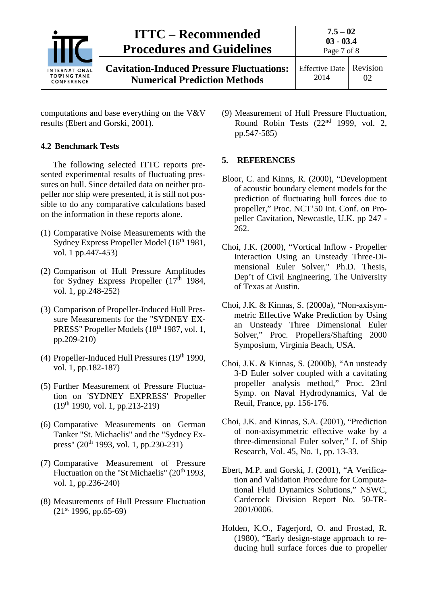| <b>INTERNATIONAL</b><br><b>TOWING TANK</b><br>CONFERENCE | <b>ITTC – Recommended</b><br><b>Procedures and Guidelines</b>                           | $7.5 - 02$<br>$03 - 03.4$<br>Page 7 of 8 |    |
|----------------------------------------------------------|-----------------------------------------------------------------------------------------|------------------------------------------|----|
|                                                          | <b>Cavitation-Induced Pressure Fluctuations:</b><br><b>Numerical Prediction Methods</b> | Effective Date   Revision<br>2014        | 02 |

computations and base everything on the V&V results (Ebert and Gorski, 2001).

#### <span id="page-6-0"></span>**4.2 Benchmark Tests**

The following selected ITTC reports presented experimental results of fluctuating pressures on hull. Since detailed data on neither propeller nor ship were presented, it is still not possible to do any comparative calculations based on the information in these reports alone.

- (1) Comparative Noise Measurements with the Sydney Express Propeller Model (16<sup>th</sup> 1981, vol. 1 pp.447-453)
- (2) Comparison of Hull Pressure Amplitudes for Sydney Express Propeller  $(17<sup>th</sup> 1984,$ vol. 1, pp.248-252)
- (3) Comparison of Propeller-Induced Hull Pressure Measurements for the "SYDNEY EX-PRESS" Propeller Models (18<sup>th</sup> 1987, vol. 1, pp.209-210)
- (4) Propeller-Induced Hull Pressures  $(19<sup>th</sup> 1990,$ vol. 1, pp.182-187)
- (5) Further Measurement of Pressure Fluctuation on 'SYDNEY EXPRESS' Propeller (19th 1990, vol. 1, pp.213-219)
- (6) Comparative Measurements on German Tanker "St. Michaelis" and the "Sydney Express" (20<sup>th</sup> 1993, vol. 1, pp.230-231)
- (7) Comparative Measurement of Pressure Fluctuation on the "St Michaelis" (20<sup>th</sup> 1993, vol. 1, pp.236-240)
- (8) Measurements of Hull Pressure Fluctuation  $(21<sup>st</sup> 1996, pp.65-69)$

(9) Measurement of Hull Pressure Fluctuation, Round Robin Tests (22nd 1999, vol. 2, pp.547-585)

#### <span id="page-6-1"></span>**5. REFERENCES**

- Bloor, C. and Kinns, R. (2000), "Development of acoustic boundary element models for the prediction of fluctuating hull forces due to propeller," Proc. NCT'50 Int. Conf. on Propeller Cavitation, Newcastle, U.K. pp 247 - 262.
- Choi, J.K. (2000), "Vortical Inflow Propeller Interaction Using an Unsteady Three-Dimensional Euler Solver," Ph.D. Thesis, Dep't of Civil Engineering, The University of Texas at Austin.
- Choi, J.K. & Kinnas, S. (2000a), "Non-axisymmetric Effective Wake Prediction by Using an Unsteady Three Dimensional Euler Solver," Proc. Propellers/Shafting 2000 Symposium, Virginia Beach, USA.
- Choi, J.K. & Kinnas, S. (2000b), "An unsteady 3-D Euler solver coupled with a cavitating propeller analysis method," Proc. 23rd Symp. on Naval Hydrodynamics, Val de Reuil, France, pp. 156-176.
- Choi, J.K. and Kinnas, S.A. (2001), "Prediction of non-axisymmetric effective wake by a three-dimensional Euler solver," J. of Ship Research, Vol. 45, No. 1, pp. 13-33.
- Ebert, M.P. and Gorski, J. (2001), "A Verification and Validation Procedure for Computational Fluid Dynamics Solutions," NSWC, Carderock Division Report No. 50-TR-2001/0006.
- Holden, K.O., Fagerjord, O. and Frostad, R. (1980), "Early design-stage approach to reducing hull surface forces due to propeller